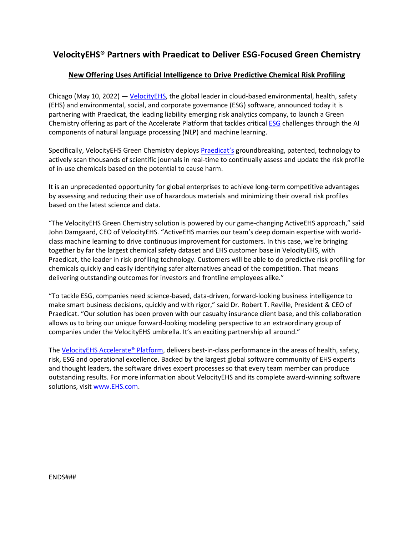# **VelocityEHS® Partners with Praedicat to Deliver ESG-Focused Green Chemistry**

## **New Offering Uses Artificial Intelligence to Drive Predictive Chemical Risk Profiling**

Chicago (May 10, 2022)  $-$  Velocity EHS, the global leader in cloud-based environmental, health, safety (EHS) and environmental, social, and corporate governance (ESG) software, announced today it is partnering with Praedicat, the leading liability emerging risk analytics company, to launch a Green Chemistry offering as part of the Accelerate Platform that tackles critica[l ESG](https://www.ehs.com/solutions/esg/) challenges through the AI components of natural language processing (NLP) and machine learning.

Specifically, VelocityEHS Green Chemistry deploys [Praedicat's](https://www.praedicat.com/) groundbreaking, patented, technology to actively scan thousands of scientific journals in real-time to continually assess and update the risk profile of in-use chemicals based on the potential to cause harm.

It is an unprecedented opportunity for global enterprises to achieve long-term competitive advantages by assessing and reducing their use of hazardous materials and minimizing their overall risk profiles based on the latest science and data.

"The VelocityEHS Green Chemistry solution is powered by our game-changing ActiveEHS approach," said John Damgaard, CEO of VelocityEHS. "ActiveEHS marries our team's deep domain expertise with worldclass machine learning to drive continuous improvement for customers. In this case, we're bringing together by far the largest chemical safety dataset and EHS customer base in VelocityEHS, with Praedicat, the leader in risk-profiling technology. Customers will be able to do predictive risk profiling for chemicals quickly and easily identifying safer alternatives ahead of the competition. That means delivering outstanding outcomes for investors and frontline employees alike."

"To tackle ESG, companies need science-based, data-driven, forward-looking business intelligence to make smart business decisions, quickly and with rigor," said Dr. Robert T. Reville, President & CEO of Praedicat. "Our solution has been proven with our casualty insurance client base, and this collaboration allows us to bring our unique forward-looking modeling perspective to an extraordinary group of companies under the VelocityEHS umbrella. It's an exciting partnership all around."

The [VelocityEHS Accelerate® Platform,](https://www.ehs.com/accelerate/) delivers best-in-class performance in the areas of health, safety, risk, ESG and operational excellence. Backed by the largest global software community of EHS experts and thought leaders, the software drives expert processes so that every team member can produce outstanding results. For more information about VelocityEHS and its complete award-winning software solutions, visit [www.EHS.com.](http://www.ehs.com/)